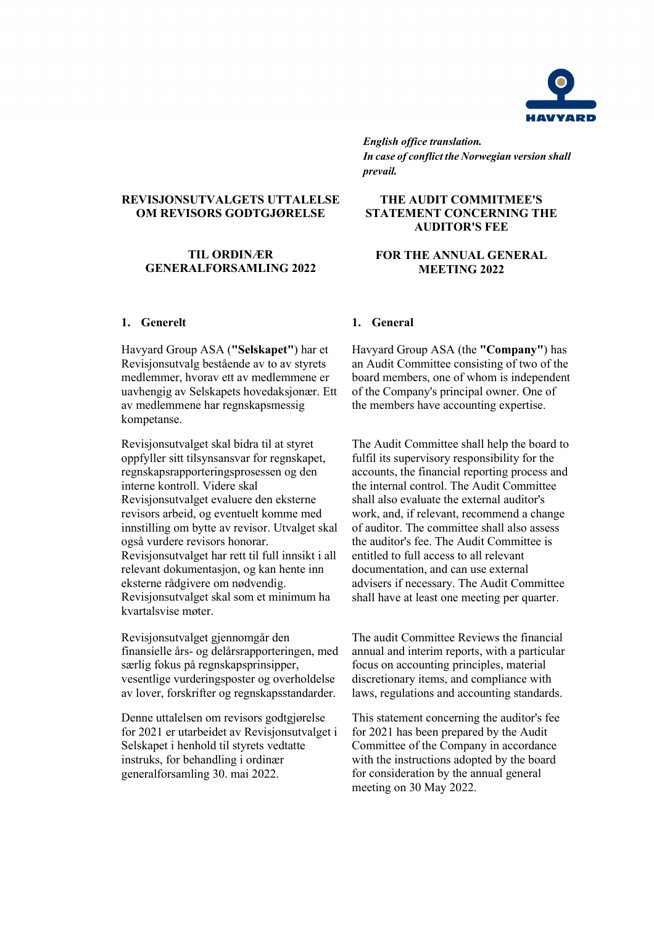

*English office translation. In case of conflict the Norwegian version shall prevail.*

**THE AUDIT COMMITMEE'S STATEMENT CONCERNING THE AUDITOR'S FEE** 

**FOR THE ANNUAL GENERAL MEETING 2022**

## **REVISJONSUTVALGETS UTTALELSE OM REVISORS GODTGJØRELSE**

## **TIL ORDINÆR GENERALFORSAMLING 2022**

Havyard Group ASA (**"Selskapet"**) har et Revisjonsutvalg bestående av to av styrets medlemmer, hvorav ett av medlemmene er uavhengig av Selskapets hovedaksjonær. Ett av medlemmene har regnskapsmessig kompetanse.

Revisjonsutvalget skal bidra til at styret oppfyller sitt tilsynsansvar for regnskapet, regnskapsrapporteringsprosessen og den interne kontroll. Videre skal Revisjonsutvalget evaluere den eksterne revisors arbeid, og eventuelt komme med innstilling om bytte av revisor. Utvalget skal også vurdere revisors honorar. Revisjonsutvalget har rett til full innsikt i all relevant dokumentasjon, og kan hente inn eksterne rådgivere om nødvendig. Revisjonsutvalget skal som et minimum ha kvartalsvise møter.

Revisjonsutvalget gjennomgår den finansielle års- og delårsrapporteringen, med særlig fokus på regnskapsprinsipper, vesentlige vurderingsposter og overholdelse av lover, forskrifter og regnskapsstandarder.

Denne uttalelsen om revisors godtgjørelse for 2021 er utarbeidet av Revisjonsutvalget i Selskapet i henhold til styrets vedtatte instruks, for behandling i ordinær generalforsamling 30. mai 2022.

### **1. Generelt 1. General**

Havyard Group ASA (the **"Company"**) has an Audit Committee consisting of two of the board members, one of whom is independent of the Company's principal owner. One of the members have accounting expertise.

The Audit Committee shall help the board to fulfil its supervisory responsibility for the accounts, the financial reporting process and the internal control. The Audit Committee shall also evaluate the external auditor's work, and, if relevant, recommend a change of auditor. The committee shall also assess the auditor's fee. The Audit Committee is entitled to full access to all relevant documentation, and can use external advisers if necessary. The Audit Committee shall have at least one meeting per quarter.

The audit Committee Reviews the financial annual and interim reports, with a particular focus on accounting principles, material discretionary items, and compliance with laws, regulations and accounting standards.

This statement concerning the auditor's fee for 2021 has been prepared by the Audit Committee of the Company in accordance with the instructions adopted by the board for consideration by the annual general meeting on 30 May 2022.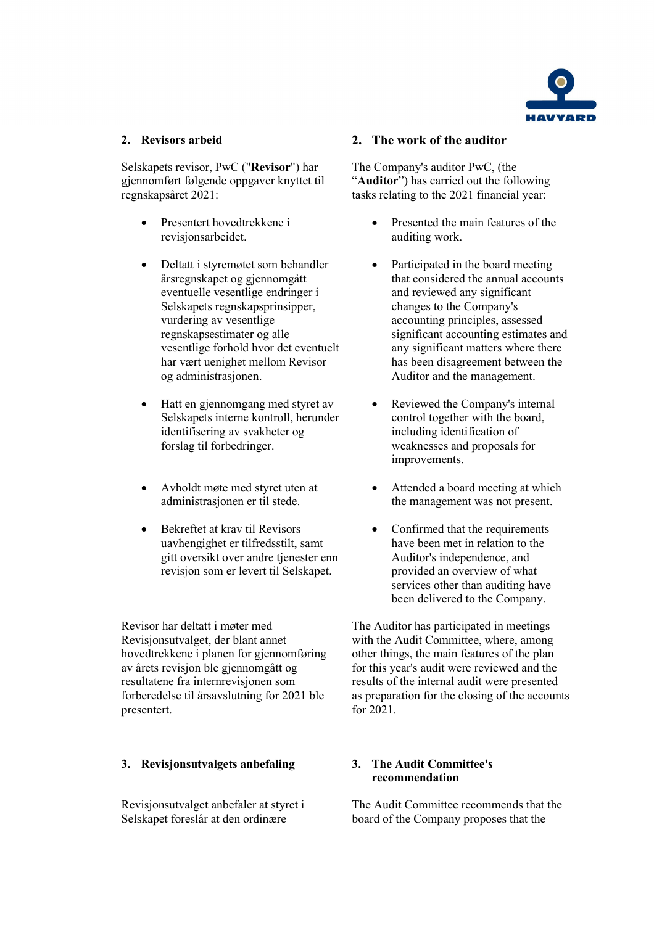

Selskapets revisor, PwC ("**Revisor**") har gjennomført følgende oppgaver knyttet til regnskapsåret 2021:

- Presentert hovedtrekkene i revisjonsarbeidet.
- Deltatt i styremøtet som behandler årsregnskapet og gjennomgått eventuelle vesentlige endringer i Selskapets regnskapsprinsipper, vurdering av vesentlige regnskapsestimater og alle vesentlige forhold hvor det eventuelt har vært uenighet mellom Revisor og administrasjonen.
- Hatt en gjennomgang med styret av Selskapets interne kontroll, herunder identifisering av svakheter og forslag til forbedringer.
- Avholdt møte med styret uten at administrasjonen er til stede.
- Bekreftet at krav til Revisors uavhengighet er tilfredsstilt, samt gitt oversikt over andre tjenester enn revisjon som er levert til Selskapet.

Revisor har deltatt i møter med Revisjonsutvalget, der blant annet hovedtrekkene i planen for gjennomføring av årets revisjon ble gjennomgått og resultatene fra internrevisjonen som forberedelse til årsavslutning for 2021 ble presentert.

## **3. Revisjonsutvalgets anbefaling 3. The Audit Committee's**

Revisjonsutvalget anbefaler at styret i Selskapet foreslår at den ordinære

## **2. Revisors arbeid 2. The work of the auditor**

The Company's auditor PwC, (the "**Auditor**") has carried out the following tasks relating to the 2021 financial year:

- Presented the main features of the auditing work.
- Participated in the board meeting that considered the annual accounts and reviewed any significant changes to the Company's accounting principles, assessed significant accounting estimates and any significant matters where there has been disagreement between the Auditor and the management.
- Reviewed the Company's internal control together with the board, including identification of weaknesses and proposals for improvements.
- Attended a board meeting at which the management was not present.
- Confirmed that the requirements have been met in relation to the Auditor's independence, and provided an overview of what services other than auditing have been delivered to the Company.

The Auditor has participated in meetings with the Audit Committee, where, among other things, the main features of the plan for this year's audit were reviewed and the results of the internal audit were presented as preparation for the closing of the accounts for 2021.

# **recommendation**

The Audit Committee recommends that the board of the Company proposes that the